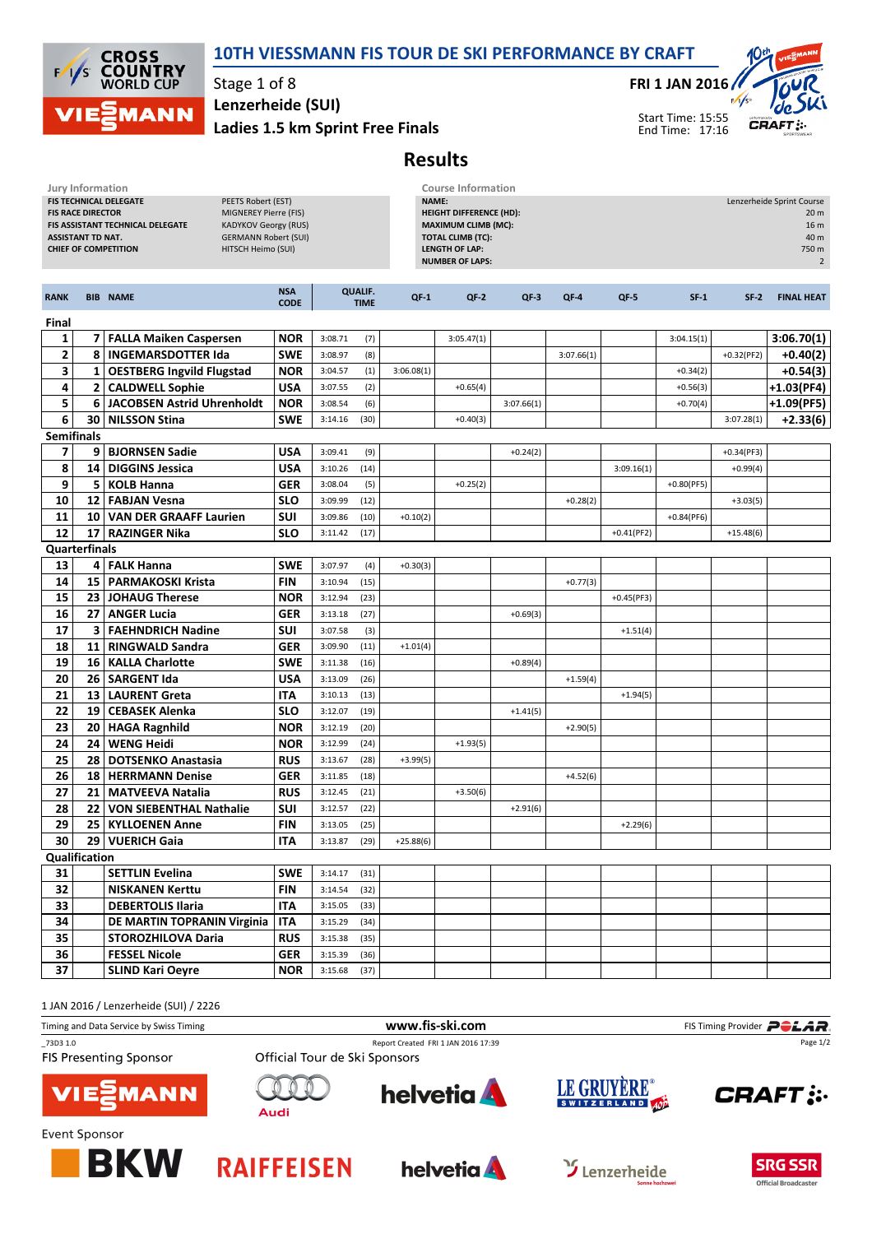

## 10TH VIESSMANN FIS TOUR DE SKI PERFORMANCE BY CRAFT

Stage 1 of 8 Lenzerheide (SUI)

## Ladies 1.5 km Sprint Free Finals

FRI 1 JAN 2016  $\sqrt{s}$ Start Time: 15:55



End Time: 17:16

## Results

| <b>Course Information</b><br>Jury Information                                                                                                                                                                                                                                        |          |                                  |                           |                |                               |             |                                                                                                                                             |            |            |              |              |              |                                                                                         |
|--------------------------------------------------------------------------------------------------------------------------------------------------------------------------------------------------------------------------------------------------------------------------------------|----------|----------------------------------|---------------------------|----------------|-------------------------------|-------------|---------------------------------------------------------------------------------------------------------------------------------------------|------------|------------|--------------|--------------|--------------|-----------------------------------------------------------------------------------------|
| FIS TECHNICAL DELEGATE<br>PEETS Robert (EST)<br><b>FIS RACE DIRECTOR</b><br>MIGNEREY Pierre (FIS)<br>FIS ASSISTANT TECHNICAL DELEGATE<br><b>KADYKOV Georgy (RUS)</b><br><b>ASSISTANT TD NAT.</b><br><b>GERMANN Robert (SUI)</b><br><b>CHIEF OF COMPETITION</b><br>HITSCH Heimo (SUI) |          |                                  |                           |                |                               | NAME:       | <b>HEIGHT DIFFERENCE (HD):</b><br><b>MAXIMUM CLIMB (MC):</b><br><b>TOTAL CLIMB (TC):</b><br><b>LENGTH OF LAP:</b><br><b>NUMBER OF LAPS:</b> |            |            |              |              |              | Lenzerheide Sprint Course<br>20 <sub>m</sub><br>16 m<br>40 m<br>750 m<br>$\overline{2}$ |
| <b>RANK</b>                                                                                                                                                                                                                                                                          |          | <b>BIB NAME</b>                  | <b>NSA</b><br><b>CODE</b> |                | <b>QUALIF.</b><br><b>TIME</b> | $QF-1$      | $QF-2$                                                                                                                                      | QF-3       | $QF-4$     | QF-5         | $SF-1$       | $SF-2$       | <b>FINAL HEAT</b>                                                                       |
| Final                                                                                                                                                                                                                                                                                |          |                                  |                           |                |                               |             |                                                                                                                                             |            |            |              |              |              |                                                                                         |
| 1                                                                                                                                                                                                                                                                                    |          | 7   FALLA Maiken Caspersen       | <b>NOR</b>                | 3:08.71        | (7)                           |             | 3:05.47(1)                                                                                                                                  |            |            |              | 3:04.15(1)   |              | 3:06.70(1)                                                                              |
| 2                                                                                                                                                                                                                                                                                    |          | 8   INGEMARSDOTTER Ida           | <b>SWE</b>                | 3:08.97        | (8)                           |             |                                                                                                                                             |            | 3:07.66(1) |              |              | $+0.32(PF2)$ | $+0.40(2)$                                                                              |
| 3                                                                                                                                                                                                                                                                                    | $1\vert$ | <b>OESTBERG Ingvild Flugstad</b> | <b>NOR</b>                | 3:04.57        | (1)                           | 3:06.08(1)  |                                                                                                                                             |            |            |              | $+0.34(2)$   |              | $+0.54(3)$                                                                              |
| 4                                                                                                                                                                                                                                                                                    |          | 2   CALDWELL Sophie              | <b>USA</b>                | 3:07.55        | (2)                           |             | $+0.65(4)$                                                                                                                                  |            |            |              | $+0.56(3)$   |              | $+1.03(PF4)$                                                                            |
| 5                                                                                                                                                                                                                                                                                    |          | 6 JACOBSEN Astrid Uhrenholdt     | <b>NOR</b>                | 3:08.54        | (6)                           |             |                                                                                                                                             | 3:07.66(1) |            |              | $+0.70(4)$   |              | $+1.09(PF5)$                                                                            |
| 6                                                                                                                                                                                                                                                                                    |          | 30   NILSSON Stina               | <b>SWE</b>                | 3:14.16        | (30)                          |             | $+0.40(3)$                                                                                                                                  |            |            |              |              | 3:07.28(1)   | $+2.33(6)$                                                                              |
| <b>Semifinals</b>                                                                                                                                                                                                                                                                    |          |                                  |                           |                |                               |             |                                                                                                                                             |            |            |              |              |              |                                                                                         |
| 7                                                                                                                                                                                                                                                                                    |          | 9   BJORNSEN Sadie               | <b>USA</b>                | 3:09.41        | (9)                           |             |                                                                                                                                             | $+0.24(2)$ |            |              |              | $+0.34(PF3)$ |                                                                                         |
| 8                                                                                                                                                                                                                                                                                    |          | 14   DIGGINS Jessica             | <b>USA</b>                | 3:10.26        | (14)                          |             |                                                                                                                                             |            |            | 3:09.16(1)   |              | $+0.99(4)$   |                                                                                         |
| 9                                                                                                                                                                                                                                                                                    | 5.       | KOLB Hanna                       | <b>GER</b>                | 3:08.04        | (5)                           |             | $+0.25(2)$                                                                                                                                  |            |            |              | $+0.80(PF5)$ |              |                                                                                         |
| 10                                                                                                                                                                                                                                                                                   |          | 12   FABJAN Vesna                | <b>SLO</b>                | 3:09.99        | (12)                          |             |                                                                                                                                             |            | $+0.28(2)$ |              |              | $+3.03(5)$   |                                                                                         |
| 11                                                                                                                                                                                                                                                                                   |          | 10   VAN DER GRAAFF Laurien      | SUI                       | 3:09.86        | (10)                          | $+0.10(2)$  |                                                                                                                                             |            |            |              | $+0.84(PF6)$ |              |                                                                                         |
| 12                                                                                                                                                                                                                                                                                   |          | 17   RAZINGER Nika               | <b>SLO</b>                | 3:11.42        | (17)                          |             |                                                                                                                                             |            |            | $+0.41(PF2)$ |              | $+15.48(6)$  |                                                                                         |
| Quarterfinals                                                                                                                                                                                                                                                                        |          |                                  |                           |                |                               |             |                                                                                                                                             |            |            |              |              |              |                                                                                         |
| 13                                                                                                                                                                                                                                                                                   |          | 4   FALK Hanna                   | <b>SWE</b>                | 3:07.97        | (4)                           | $+0.30(3)$  |                                                                                                                                             |            |            |              |              |              |                                                                                         |
| 14                                                                                                                                                                                                                                                                                   |          | 15   PARMAKOSKI Krista           | <b>FIN</b>                | 3:10.94        | (15)                          |             |                                                                                                                                             |            | $+0.77(3)$ |              |              |              |                                                                                         |
| 15                                                                                                                                                                                                                                                                                   |          | 23   JOHAUG Therese              | <b>NOR</b>                | 3:12.94        | (23)                          |             |                                                                                                                                             |            |            | $+0.45(PF3)$ |              |              |                                                                                         |
| 16                                                                                                                                                                                                                                                                                   |          | 27   ANGER Lucia                 | <b>GER</b>                | 3:13.18        | (27)                          |             |                                                                                                                                             | $+0.69(3)$ |            |              |              |              |                                                                                         |
| 17                                                                                                                                                                                                                                                                                   |          | <b>3   FAEHNDRICH Nadine</b>     | SUI                       | 3:07.58        | (3)                           |             |                                                                                                                                             |            |            | $+1.51(4)$   |              |              |                                                                                         |
| 18                                                                                                                                                                                                                                                                                   |          | 11   RINGWALD Sandra             | <b>GER</b>                | 3:09.90        | (11)                          | $+1.01(4)$  |                                                                                                                                             |            |            |              |              |              |                                                                                         |
| 19                                                                                                                                                                                                                                                                                   |          | 16   KALLA Charlotte             | <b>SWE</b>                | 3:11.38        | (16)                          |             |                                                                                                                                             | $+0.89(4)$ |            |              |              |              |                                                                                         |
| 20                                                                                                                                                                                                                                                                                   |          | 26   SARGENT Ida                 | <b>USA</b>                | 3:13.09        | (26)                          |             |                                                                                                                                             |            | $+1.59(4)$ |              |              |              |                                                                                         |
| 21                                                                                                                                                                                                                                                                                   |          | 13   LAURENT Greta               | <b>ITA</b>                | 3:10.13        | (13)                          |             |                                                                                                                                             |            |            | $+1.94(5)$   |              |              |                                                                                         |
| 22                                                                                                                                                                                                                                                                                   |          | 19   CEBASEK Alenka              | <b>SLO</b>                | 3:12.07        | (19)                          |             |                                                                                                                                             | $+1.41(5)$ |            |              |              |              |                                                                                         |
| 23                                                                                                                                                                                                                                                                                   |          | 20 HAGA Ragnhild                 | <b>NOR</b>                | 3:12.19        | (20)                          |             |                                                                                                                                             |            | $+2.90(5)$ |              |              |              |                                                                                         |
| 24                                                                                                                                                                                                                                                                                   |          | 24   WENG Heidi                  | <b>NOR</b>                | 3:12.99        | (24)                          |             | $+1.93(5)$                                                                                                                                  |            |            |              |              |              |                                                                                         |
| 25                                                                                                                                                                                                                                                                                   |          | 28   DOTSENKO Anastasia          | <b>RUS</b>                | 3:13.67        | (28)                          | $+3.99(5)$  |                                                                                                                                             |            |            |              |              |              |                                                                                         |
| 26                                                                                                                                                                                                                                                                                   |          | 18   HERRMANN Denise             | <b>GER</b>                | 3:11.85        | (18)                          |             |                                                                                                                                             |            | $+4.52(6)$ |              |              |              |                                                                                         |
| 27                                                                                                                                                                                                                                                                                   |          | 21   MATVEEVA Natalia            | <b>RUS</b>                | 3:12.45        | (21)                          |             | $+3.50(6)$                                                                                                                                  |            |            |              |              |              |                                                                                         |
| 28                                                                                                                                                                                                                                                                                   | 22       | <b>VON SIEBENTHAL Nathalie</b>   | SUI                       | 3:12.57        | (22)                          |             |                                                                                                                                             | $+2.91(6)$ |            |              |              |              |                                                                                         |
| 29                                                                                                                                                                                                                                                                                   |          | 25   KYLLOENEN Anne              | FIN                       | 3:13.05        | (25)                          |             |                                                                                                                                             |            |            | $+2.29(6)$   |              |              |                                                                                         |
|                                                                                                                                                                                                                                                                                      |          | 30 29 VUERICH Gaia               | <b>ITA</b>                | $3:13.87$ (29) |                               | $+25.88(6)$ |                                                                                                                                             |            |            |              |              |              |                                                                                         |
| Qualification                                                                                                                                                                                                                                                                        |          |                                  |                           |                |                               |             |                                                                                                                                             |            |            |              |              |              |                                                                                         |
| 31                                                                                                                                                                                                                                                                                   |          | <b>SETTLIN Evelina</b>           | <b>SWE</b>                | $3:14.17$ (31) |                               |             |                                                                                                                                             |            |            |              |              |              |                                                                                         |
| 32                                                                                                                                                                                                                                                                                   |          | <b>NISKANEN Kerttu</b>           | <b>FIN</b>                | $3:14.54$ (32) |                               |             |                                                                                                                                             |            |            |              |              |              |                                                                                         |
| 33                                                                                                                                                                                                                                                                                   |          | <b>DEBERTOLIS Ilaria</b>         | ITA                       | $3:15.05$ (33) |                               |             |                                                                                                                                             |            |            |              |              |              |                                                                                         |
| 34                                                                                                                                                                                                                                                                                   |          | DE MARTIN TOPRANIN Virginia      | ITA                       | $3:15.29$ (34) |                               |             |                                                                                                                                             |            |            |              |              |              |                                                                                         |
| 35                                                                                                                                                                                                                                                                                   |          | STOROZHILOVA Daria               | <b>RUS</b>                | $3:15.38$ (35) |                               |             |                                                                                                                                             |            |            |              |              |              |                                                                                         |
| 36                                                                                                                                                                                                                                                                                   |          | <b>FESSEL Nicole</b>             | <b>GER</b>                | $3:15.39$ (36) |                               |             |                                                                                                                                             |            |            |              |              |              |                                                                                         |
| 37                                                                                                                                                                                                                                                                                   |          | <b>SLIND Kari Oeyre</b>          | <b>NOR</b>                | $3:15.68$ (37) |                               |             |                                                                                                                                             |            |            |              |              |              |                                                                                         |
|                                                                                                                                                                                                                                                                                      |          |                                  |                           |                |                               |             |                                                                                                                                             |            |            |              |              |              |                                                                                         |

1 JAN 2016 / Lenzerheide (SUI) / 2226

Timing and Data Service by Swiss Timing **Filter and Data Service by Swiss Timing Provider** \_73D3 1.0 Report Created FRI 1 JAN 2016 17:39 Page 1/2**FIS Presenting Sponsor** Official Tour de Ski Sponsors LE GRUYÈRE® **helvetia CRAFT: :. MANN Audi Event Sponsor**